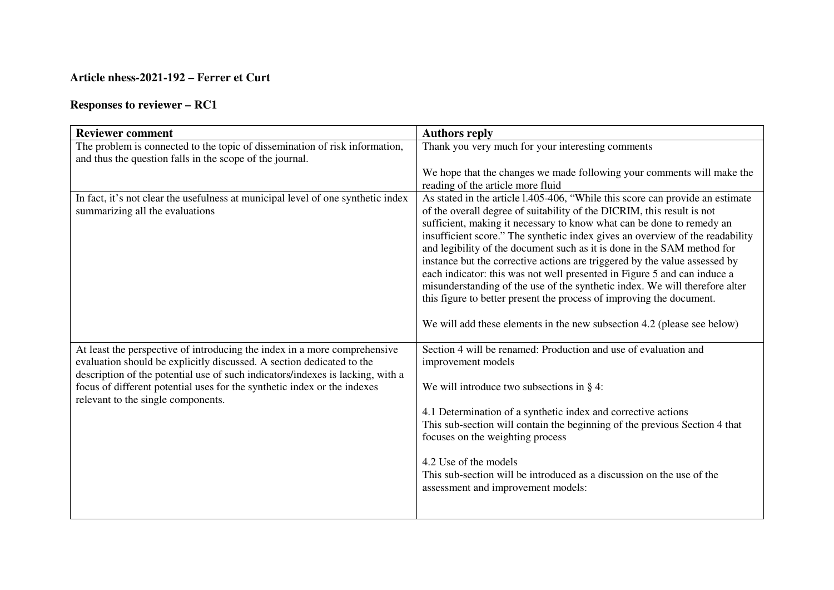## **Article nhess-2021-192 – Ferrer et Curt**

## **Responses to reviewer – RC1**

| <b>Reviewer comment</b>                                                                                                                                                                                                                                                                                                                                | <b>Authors reply</b>                                                                                                                                                                                                                                                                                                                                                                                                                                                                                                                                                                                                                                                                                                                                                                     |
|--------------------------------------------------------------------------------------------------------------------------------------------------------------------------------------------------------------------------------------------------------------------------------------------------------------------------------------------------------|------------------------------------------------------------------------------------------------------------------------------------------------------------------------------------------------------------------------------------------------------------------------------------------------------------------------------------------------------------------------------------------------------------------------------------------------------------------------------------------------------------------------------------------------------------------------------------------------------------------------------------------------------------------------------------------------------------------------------------------------------------------------------------------|
| The problem is connected to the topic of dissemination of risk information,<br>and thus the question falls in the scope of the journal.                                                                                                                                                                                                                | Thank you very much for your interesting comments                                                                                                                                                                                                                                                                                                                                                                                                                                                                                                                                                                                                                                                                                                                                        |
|                                                                                                                                                                                                                                                                                                                                                        | We hope that the changes we made following your comments will make the<br>reading of the article more fluid                                                                                                                                                                                                                                                                                                                                                                                                                                                                                                                                                                                                                                                                              |
| In fact, it's not clear the usefulness at municipal level of one synthetic index<br>summarizing all the evaluations                                                                                                                                                                                                                                    | As stated in the article 1.405-406, "While this score can provide an estimate<br>of the overall degree of suitability of the DICRIM, this result is not<br>sufficient, making it necessary to know what can be done to remedy an<br>insufficient score." The synthetic index gives an overview of the readability<br>and legibility of the document such as it is done in the SAM method for<br>instance but the corrective actions are triggered by the value assessed by<br>each indicator: this was not well presented in Figure 5 and can induce a<br>misunderstanding of the use of the synthetic index. We will therefore alter<br>this figure to better present the process of improving the document.<br>We will add these elements in the new subsection 4.2 (please see below) |
| At least the perspective of introducing the index in a more comprehensive<br>evaluation should be explicitly discussed. A section dedicated to the<br>description of the potential use of such indicators/indexes is lacking, with a<br>focus of different potential uses for the synthetic index or the indexes<br>relevant to the single components. | Section 4 will be renamed: Production and use of evaluation and<br>improvement models<br>We will introduce two subsections in $\S$ 4:<br>4.1 Determination of a synthetic index and corrective actions<br>This sub-section will contain the beginning of the previous Section 4 that<br>focuses on the weighting process<br>4.2 Use of the models<br>This sub-section will be introduced as a discussion on the use of the<br>assessment and improvement models:                                                                                                                                                                                                                                                                                                                         |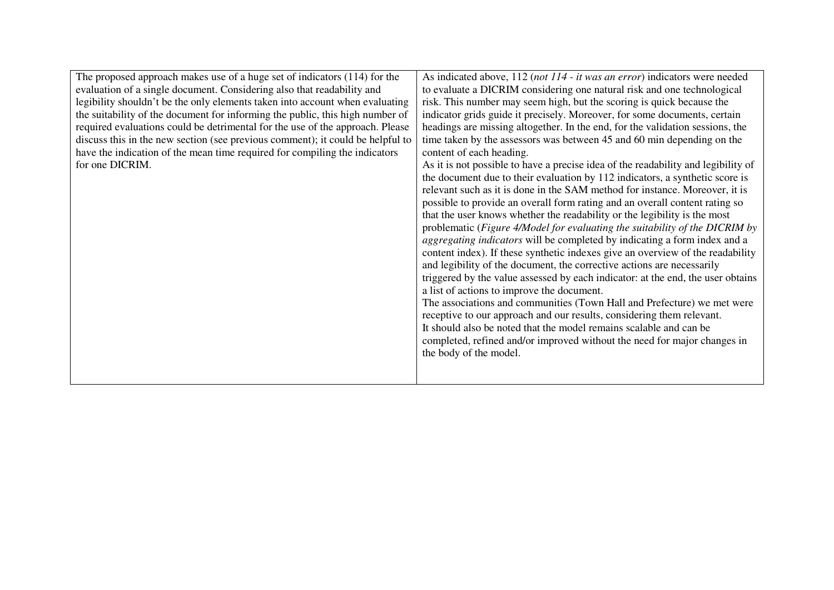| The proposed approach makes use of a huge set of indicators $(114)$ for the<br>evaluation of a single document. Considering also that readability and<br>legibility shouldn't be the only elements taken into account when evaluating<br>the suitability of the document for informing the public, this high number of<br>required evaluations could be detrimental for the use of the approach. Please<br>discuss this in the new section (see previous comment); it could be helpful to<br>have the indication of the mean time required for compiling the indicators<br>for one DICRIM. | As indicated above, 112 (not 114 - it was an error) indicators were needed<br>to evaluate a DICRIM considering one natural risk and one technological<br>risk. This number may seem high, but the scoring is quick because the<br>indicator grids guide it precisely. Moreover, for some documents, certain<br>headings are missing altogether. In the end, for the validation sessions, the<br>time taken by the assessors was between 45 and 60 min depending on the<br>content of each heading.<br>As it is not possible to have a precise idea of the readability and legibility of<br>the document due to their evaluation by 112 indicators, a synthetic score is<br>relevant such as it is done in the SAM method for instance. Moreover, it is<br>possible to provide an overall form rating and an overall content rating so<br>that the user knows whether the readability or the legibility is the most<br>problematic (Figure 4/Model for evaluating the suitability of the DICRIM by<br>aggregating indicators will be completed by indicating a form index and a<br>content index). If these synthetic indexes give an overview of the readability<br>and legibility of the document, the corrective actions are necessarily<br>triggered by the value assessed by each indicator: at the end, the user obtains<br>a list of actions to improve the document.<br>The associations and communities (Town Hall and Prefecture) we met were<br>receptive to our approach and our results, considering them relevant.<br>It should also be noted that the model remains scalable and can be<br>completed, refined and/or improved without the need for major changes in<br>the body of the model. |
|--------------------------------------------------------------------------------------------------------------------------------------------------------------------------------------------------------------------------------------------------------------------------------------------------------------------------------------------------------------------------------------------------------------------------------------------------------------------------------------------------------------------------------------------------------------------------------------------|-------------------------------------------------------------------------------------------------------------------------------------------------------------------------------------------------------------------------------------------------------------------------------------------------------------------------------------------------------------------------------------------------------------------------------------------------------------------------------------------------------------------------------------------------------------------------------------------------------------------------------------------------------------------------------------------------------------------------------------------------------------------------------------------------------------------------------------------------------------------------------------------------------------------------------------------------------------------------------------------------------------------------------------------------------------------------------------------------------------------------------------------------------------------------------------------------------------------------------------------------------------------------------------------------------------------------------------------------------------------------------------------------------------------------------------------------------------------------------------------------------------------------------------------------------------------------------------------------------------------------------------------------------------------------------------------------------------|
|--------------------------------------------------------------------------------------------------------------------------------------------------------------------------------------------------------------------------------------------------------------------------------------------------------------------------------------------------------------------------------------------------------------------------------------------------------------------------------------------------------------------------------------------------------------------------------------------|-------------------------------------------------------------------------------------------------------------------------------------------------------------------------------------------------------------------------------------------------------------------------------------------------------------------------------------------------------------------------------------------------------------------------------------------------------------------------------------------------------------------------------------------------------------------------------------------------------------------------------------------------------------------------------------------------------------------------------------------------------------------------------------------------------------------------------------------------------------------------------------------------------------------------------------------------------------------------------------------------------------------------------------------------------------------------------------------------------------------------------------------------------------------------------------------------------------------------------------------------------------------------------------------------------------------------------------------------------------------------------------------------------------------------------------------------------------------------------------------------------------------------------------------------------------------------------------------------------------------------------------------------------------------------------------------------------------|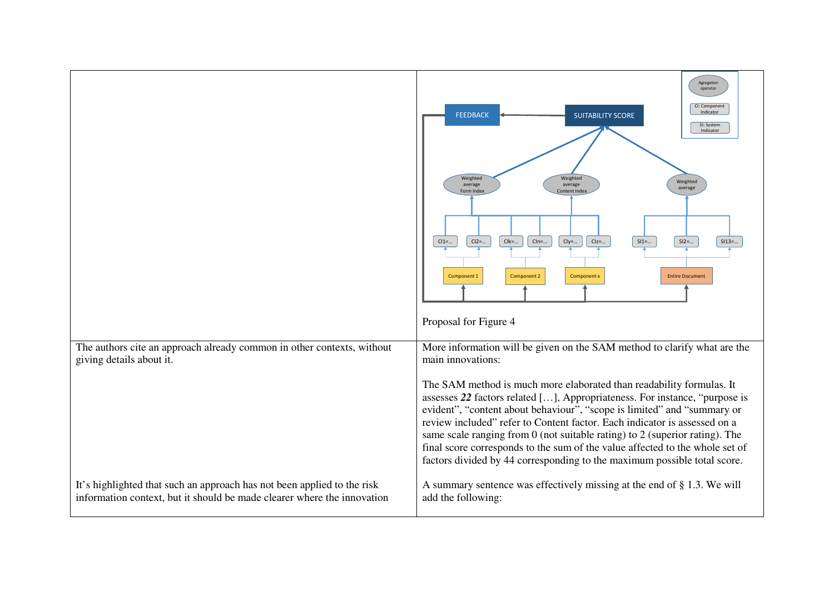|                                                                                                                                                    | Agregation<br>operator<br>CI: Component<br>Indicator<br><b>FEEDBACK</b><br><b>SUITABILITY SCORE</b><br>SI: System<br>Indicator<br>Weighted<br>Weighted<br>Weighted<br>average<br>average<br>average<br>Content Index<br>Form Index<br>$CI2 = $<br>$CI1 = $<br>$Clk = $<br>$CIn = $<br>$Cly = $<br>$Clz = $<br>$SI1 = $<br>$SI2 = $<br>$SI13 = $<br>Component 2<br>Component x<br><b>Entire Document</b><br>Component 1<br>Proposal for Figure 4                                                                                                                                                                                                        |
|----------------------------------------------------------------------------------------------------------------------------------------------------|--------------------------------------------------------------------------------------------------------------------------------------------------------------------------------------------------------------------------------------------------------------------------------------------------------------------------------------------------------------------------------------------------------------------------------------------------------------------------------------------------------------------------------------------------------------------------------------------------------------------------------------------------------|
| The authors cite an approach already common in other contexts, without<br>giving details about it.                                                 | More information will be given on the SAM method to clarify what are the<br>main innovations:<br>The SAM method is much more elaborated than readability formulas. It<br>assesses 22 factors related [], Appropriateness. For instance, "purpose is<br>evident", "content about behaviour", "scope is limited" and "summary or<br>review included" refer to Content factor. Each indicator is assessed on a<br>same scale ranging from 0 (not suitable rating) to 2 (superior rating). The<br>final score corresponds to the sum of the value affected to the whole set of<br>factors divided by 44 corresponding to the maximum possible total score. |
| It's highlighted that such an approach has not been applied to the risk<br>information context, but it should be made clearer where the innovation | A summary sentence was effectively missing at the end of § 1.3. We will<br>add the following:                                                                                                                                                                                                                                                                                                                                                                                                                                                                                                                                                          |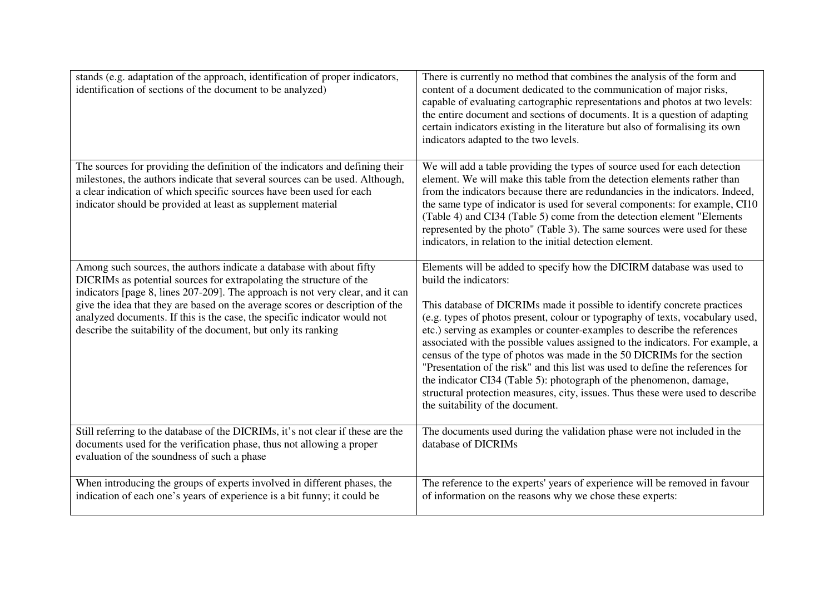| stands (e.g. adaptation of the approach, identification of proper indicators,<br>identification of sections of the document to be analyzed)                                                                                                                                                                                                                                                                                                                   | There is currently no method that combines the analysis of the form and<br>content of a document dedicated to the communication of major risks,<br>capable of evaluating cartographic representations and photos at two levels:<br>the entire document and sections of documents. It is a question of adapting<br>certain indicators existing in the literature but also of formalising its own<br>indicators adapted to the two levels.                                                                                                                                                                                                                                                                                                                                             |
|---------------------------------------------------------------------------------------------------------------------------------------------------------------------------------------------------------------------------------------------------------------------------------------------------------------------------------------------------------------------------------------------------------------------------------------------------------------|--------------------------------------------------------------------------------------------------------------------------------------------------------------------------------------------------------------------------------------------------------------------------------------------------------------------------------------------------------------------------------------------------------------------------------------------------------------------------------------------------------------------------------------------------------------------------------------------------------------------------------------------------------------------------------------------------------------------------------------------------------------------------------------|
| The sources for providing the definition of the indicators and defining their<br>milestones, the authors indicate that several sources can be used. Although,<br>a clear indication of which specific sources have been used for each<br>indicator should be provided at least as supplement material                                                                                                                                                         | We will add a table providing the types of source used for each detection<br>element. We will make this table from the detection elements rather than<br>from the indicators because there are redundancies in the indicators. Indeed,<br>the same type of indicator is used for several components: for example, CI10<br>(Table 4) and CI34 (Table 5) come from the detection element "Elements"<br>represented by the photo" (Table 3). The same sources were used for these<br>indicators, in relation to the initial detection element.                                                                                                                                                                                                                                          |
| Among such sources, the authors indicate a database with about fifty<br>DICRIMs as potential sources for extrapolating the structure of the<br>indicators [page 8, lines 207-209]. The approach is not very clear, and it can<br>give the idea that they are based on the average scores or description of the<br>analyzed documents. If this is the case, the specific indicator would not<br>describe the suitability of the document, but only its ranking | Elements will be added to specify how the DICIRM database was used to<br>build the indicators:<br>This database of DICRIMs made it possible to identify concrete practices<br>(e.g. types of photos present, colour or typography of texts, vocabulary used,<br>etc.) serving as examples or counter-examples to describe the references<br>associated with the possible values assigned to the indicators. For example, a<br>census of the type of photos was made in the 50 DICRIMs for the section<br>"Presentation of the risk" and this list was used to define the references for<br>the indicator CI34 (Table 5): photograph of the phenomenon, damage,<br>structural protection measures, city, issues. Thus these were used to describe<br>the suitability of the document. |
| Still referring to the database of the DICRIMs, it's not clear if these are the<br>documents used for the verification phase, thus not allowing a proper<br>evaluation of the soundness of such a phase                                                                                                                                                                                                                                                       | The documents used during the validation phase were not included in the<br>database of DICRIMs                                                                                                                                                                                                                                                                                                                                                                                                                                                                                                                                                                                                                                                                                       |
| When introducing the groups of experts involved in different phases, the<br>indication of each one's years of experience is a bit funny; it could be                                                                                                                                                                                                                                                                                                          | The reference to the experts' years of experience will be removed in favour<br>of information on the reasons why we chose these experts:                                                                                                                                                                                                                                                                                                                                                                                                                                                                                                                                                                                                                                             |